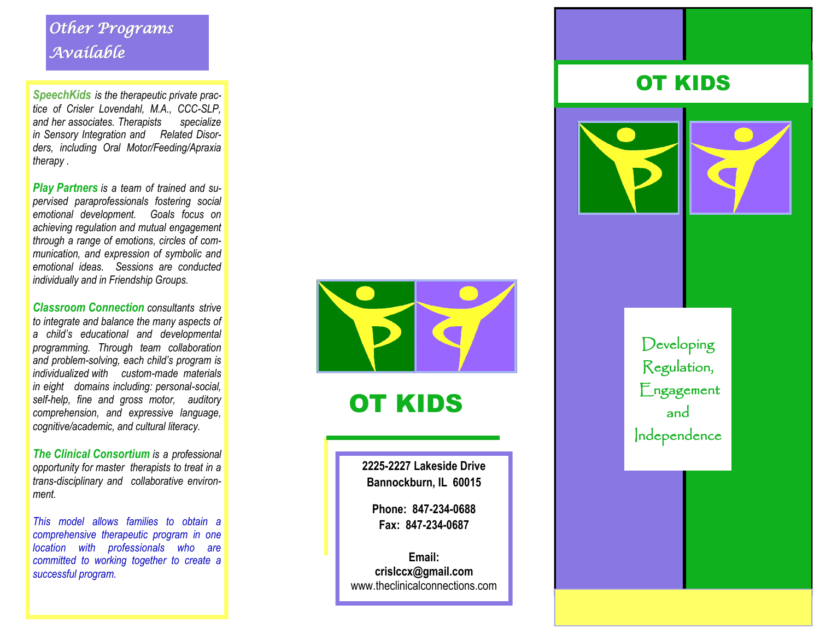## *Other Programs Available*

*SpeechKids is the therapeutic private practice of Crisler Lovendahl, M.A., CCC-SLP, and her associates. Therapists specialize in Sensory Integration and Related Disorders, including Oral Motor/Feeding/Apraxia therapy .*

*Play Partners is a team of trained and supervised paraprofessionals fostering social emotional development. Goals focus on achieving regulation and mutual engagement through a range of emotions, circles of communication, and expression of symbolic and emotional ideas. Sessions are conducted individually and in Friendship Groups.*

*Classroom Connection consultants strive to integrate and balance the many aspects of a child's educational and developmental programming. Through team collaboration and problem -solving, each child's program is individualized with custom -made materials in eight domains including: personal -social, self-help, fine and gross motor, auditory comprehension, and expressive language, cognitive/academic, and cultural literacy.*

*The Clinical Consortium is a professional opportunity for master therapists to treat in a trans -disciplinary and collaborative environment.*

*This model allows families to obtain a comprehensive therapeutic program in one location with professionals who are committed to working together to create a successful program.*



OT KIDS

**2225 -2227 Lakeside Drive Bannockburn, IL 60015**

**Phone: 847 -234 -0688 Fax: 847 -234 -0687**

**Email: crislccx@gmail.com** www.theclinicalconnections.com